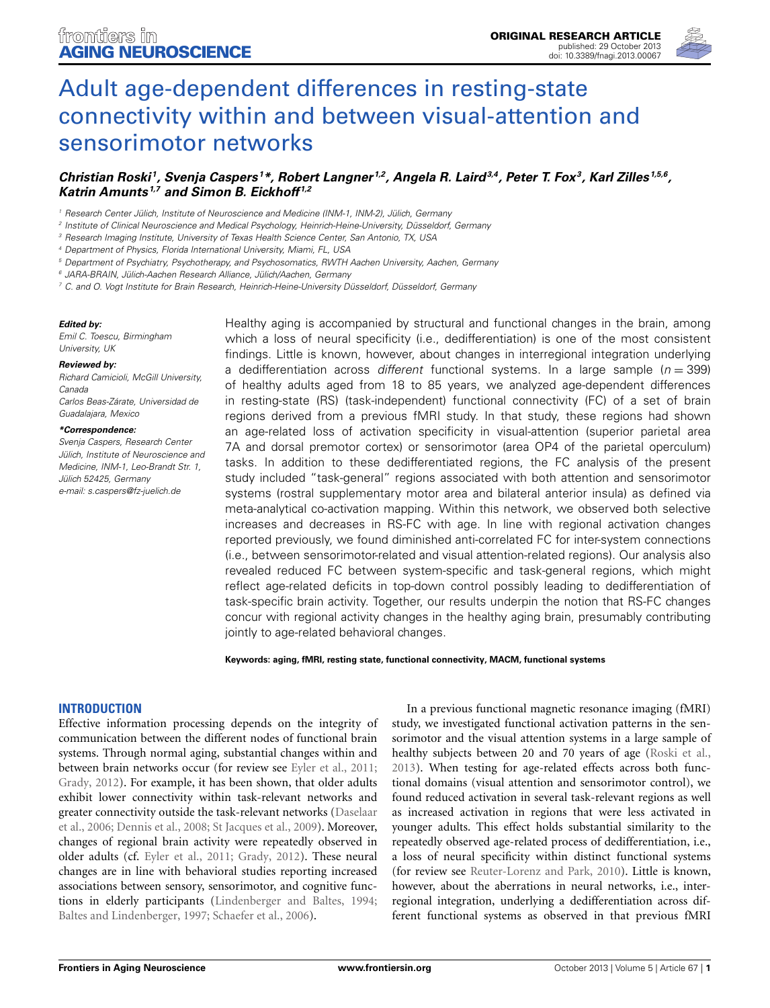

# Adult age-dependent differences in resting-state [connectivity within and between visual-attention and](http://www.frontiersin.org/journal/10.3389/fnagi.2013.00067/abstract) sensorimotor networks

# *[Christian Roski](http://www.frontiersin.org/people/u/104444) 1, [Svenja Caspers](http://www.frontiersin.org/people/u/50089) <sup>1</sup> \*, [Robert Langner](http://community.frontiersin.org/people/RobertLangner/67634) 1,2, [Angela R. Laird3](http://community.frontiersin.org/people/AngelaLaird/4504),4, [Peter T. Fox](http://www.frontiersin.org/people/u/4513)3, [Karl Zilles](http://www.frontiersin.org/people/u/2230) 1,5,6, [Katrin Amunts](http://www.frontiersin.org/people/u/6448) 1,7 and [Simon B. Eickhoff](http://community.frontiersin.org/people/SimonEickhoff/4506) 1,2*

*<sup>1</sup> Research Center Jülich, Institute of Neuroscience and Medicine (INM-1, INM-2), Jülich, Germany*

*<sup>3</sup> Research Imaging Institute, University of Texas Health Science Center, San Antonio, TX, USA*

*<sup>4</sup> Department of Physics, Florida International University, Miami, FL, USA*

*<sup>5</sup> Department of Psychiatry, Psychotherapy, and Psychosomatics, RWTH Aachen University, Aachen, Germany*

*<sup>6</sup> JARA-BRAIN, Jülich-Aachen Research Alliance, Jülich/Aachen, Germany*

*<sup>7</sup> C. and O. Vogt Institute for Brain Research, Heinrich-Heine-University Düsseldorf, Düsseldorf, Germany*

#### *Edited by:*

*Emil C. Toescu, Birmingham University, UK*

#### *Reviewed by:*

*Richard Camicioli, McGill University, Canada Carlos Beas-Zárate, Universidad de Guadalajara, Mexico*

#### *\*Correspondence:*

*Svenja Caspers, Research Center Jülich, Institute of Neuroscience and Medicine, INM-1, Leo-Brandt Str. 1, Jülich 52425, Germany e-mail: [s.caspers@fz-juelich.de](mailto:s.caspers@fz-juelich.de)*

Healthy aging is accompanied by structural and functional changes in the brain, among which a loss of neural specificity (i.e., dedifferentiation) is one of the most consistent findings. Little is known, however, about changes in interregional integration underlying a dedifferentiation across *different* functional systems. In a large sample (*n* = 399) of healthy adults aged from 18 to 85 years, we analyzed age-dependent differences in resting-state (RS) (task-independent) functional connectivity (FC) of a set of brain regions derived from a previous fMRI study. In that study, these regions had shown an age-related loss of activation specificity in visual-attention (superior parietal area 7A and dorsal premotor cortex) or sensorimotor (area OP4 of the parietal operculum) tasks. In addition to these dedifferentiated regions, the FC analysis of the present study included "task-general" regions associated with both attention and sensorimotor systems (rostral supplementary motor area and bilateral anterior insula) as defined via meta-analytical co-activation mapping. Within this network, we observed both selective increases and decreases in RS-FC with age. In line with regional activation changes reported previously, we found diminished anti-correlated FC for inter-system connections (i.e., between sensorimotor-related and visual attention-related regions). Our analysis also revealed reduced FC between system-specific and task-general regions, which might reflect age-related deficits in top-down control possibly leading to dedifferentiation of task-specific brain activity. Together, our results underpin the notion that RS-FC changes concur with regional activity changes in the healthy aging brain, presumably contributing jointly to age-related behavioral changes.

**Keywords: aging, fMRI, resting state, functional connectivity, MACM, functional systems**

#### **INTRODUCTION**

Effective information processing depends on the integrity of communication between the different nodes of functional brain systems. Through normal aging, substantial changes within and between brain networks occur (for review see [Eyler et al.](#page-8-0), [2011;](#page-8-0) [Grady, 2012](#page-8-1)). For example, it has been shown, that older adults exhibit lower connectivity within task-relevant networks and grea[ter](#page-8-2) [connectivity](#page-8-2) [outside](#page-8-2) [the](#page-8-2) [task-relevant](#page-8-2) [networks](#page-8-2) [\(](#page-8-2)Daselaar et al., [2006;](#page-8-2) [Dennis et al.](#page-8-3), [2008](#page-8-3); [St Jacques et al., 2009](#page-9-0)). Moreover, changes of regional brain activity were repeatedly observed in older adults (cf. [Eyler et al.](#page-8-0), [2011](#page-8-0); [Grady, 2012](#page-8-1)). These neural changes are in line with behavioral studies reporting increased associations between sensory, sensorimotor, and cognitive functions in elderly participants [\(Lindenberger and Baltes](#page-9-1), [1994;](#page-9-1) [Baltes and Lindenberger](#page-8-4), [1997](#page-8-4); [Schaefer et al.](#page-9-2), [2006](#page-9-2)).

In a previous functional magnetic resonance imaging (fMRI) study, we investigated functional activation patterns in the sensorimotor and the visual attention systems in a large sample of healthy subjects between 20 and 70 years of age [\(Roski et al.,](#page-9-3) [2013](#page-9-3)). When testing for age-related effects across both functional domains (visual attention and sensorimotor control), we found reduced activation in several task-relevant regions as well as increased activation in regions that were less activated in younger adults. This effect holds substantial similarity to the repeatedly observed age-related process of dedifferentiation, i.e., a loss of neural specificity within distinct functional systems (for review see [Reuter-Lorenz and Park](#page-9-4), [2010](#page-9-4)). Little is known, however, about the aberrations in neural networks, i.e., interregional integration, underlying a dedifferentiation across different functional systems as observed in that previous fMRI

*<sup>2</sup> Institute of Clinical Neuroscience and Medical Psychology, Heinrich-Heine-University, Düsseldorf, Germany*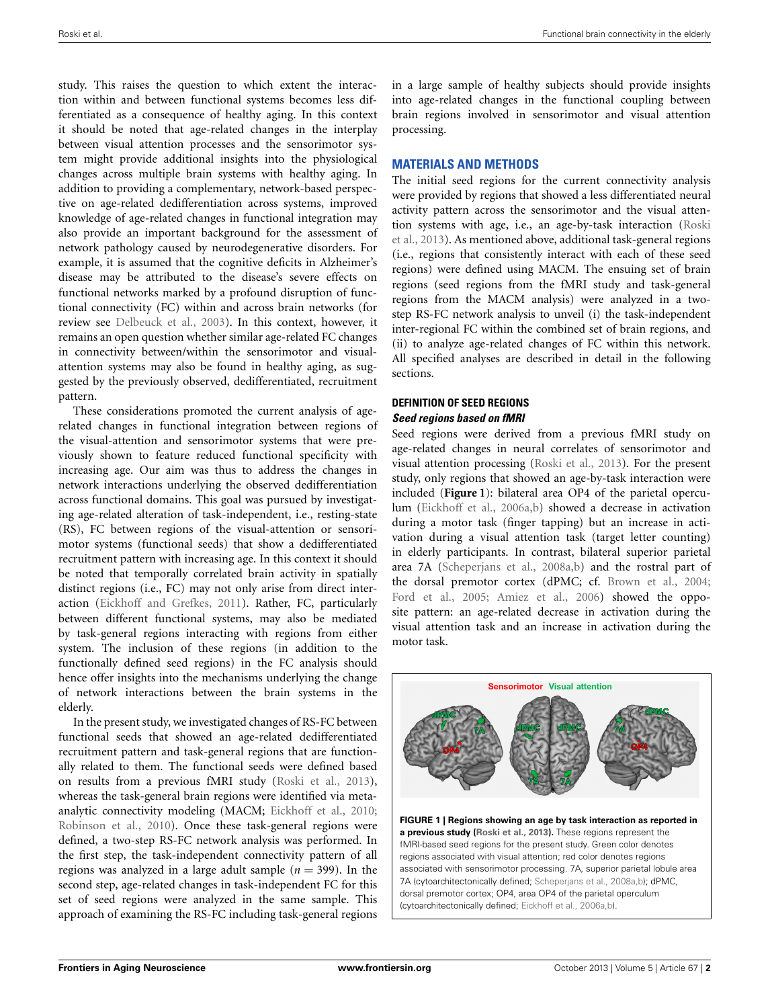study. This raises the question to which extent the interaction within and between functional systems becomes less differentiated as a consequence of healthy aging. In this context it should be noted that age-related changes in the interplay between visual attention processes and the sensorimotor system might provide additional insights into the physiological changes across multiple brain systems with healthy aging. In addition to providing a complementary, network-based perspective on age-related dedifferentiation across systems, improved knowledge of age-related changes in functional integration may also provide an important background for the assessment of network pathology caused by neurodegenerative disorders. For example, it is assumed that the cognitive deficits in Alzheimer's disease may be attributed to the disease's severe effects on functional networks marked by a profound disruption of functional connectivity (FC) within and across brain networks (for review see [Delbeuck et al.](#page-8-5), [2003\)](#page-8-5). In this context, however, it remains an open question whether similar age-related FC changes in connectivity between/within the sensorimotor and visualattention systems may also be found in healthy aging, as suggested by the previously observed, dedifferentiated, recruitment pattern.

These considerations promoted the current analysis of agerelated changes in functional integration between regions of the visual-attention and sensorimotor systems that were previously shown to feature reduced functional specificity with increasing age. Our aim was thus to address the changes in network interactions underlying the observed dedifferentiation across functional domains. This goal was pursued by investigating age-related alteration of task-independent, i.e., resting-state (RS), FC between regions of the visual-attention or sensorimotor systems (functional seeds) that show a dedifferentiated recruitment pattern with increasing age. In this context it should be noted that temporally correlated brain activity in spatially distinct regions (i.e., FC) may not only arise from direct interaction [\(Eickhoff and Grefkes, 2011\)](#page-8-6). Rather, FC, particularly between different functional systems, may also be mediated by task-general regions interacting with regions from either system. The inclusion of these regions (in addition to the functionally defined seed regions) in the FC analysis should hence offer insights into the mechanisms underlying the change of network interactions between the brain systems in the elderly.

In the present study, we investigated changes of RS-FC between functional seeds that showed an age-related dedifferentiated recruitment pattern and task-general regions that are functionally related to them. The functional seeds were defined based on results from a previous fMRI study [\(Roski et al., 2013\)](#page-9-3), whereas the task-general brain regions were identified via metaanalytic connectivity modeling (MACM; [Eickhoff et al., 2010;](#page-8-7) [Robinson et al., 2010\)](#page-9-5). Once these task-general regions were defined, a two-step RS-FC network analysis was performed. In the first step, the task-independent connectivity pattern of all regions was analyzed in a large adult sample  $(n = 399)$ . In the second step, age-related changes in task-independent FC for this set of seed regions were analyzed in the same sample. This approach of examining the RS-FC including task-general regions in a large sample of healthy subjects should provide insights into age-related changes in the functional coupling between brain regions involved in sensorimotor and visual attention processing.

#### **MATERIALS AND METHODS**

The initial seed regions for the current connectivity analysis were provided by regions that showed a less differentiated neural activity pattern across the sensorimotor and the visual attention [systems](#page-9-3) [with](#page-9-3) [age,](#page-9-3) [i.e.,](#page-9-3) [an](#page-9-3) [age-by-task](#page-9-3) [interaction](#page-9-3) [\(](#page-9-3)Roski et al., [2013\)](#page-9-3). As mentioned above, additional task-general regions (i.e., regions that consistently interact with each of these seed regions) were defined using MACM. The ensuing set of brain regions (seed regions from the fMRI study and task-general regions from the MACM analysis) were analyzed in a twostep RS-FC network analysis to unveil (i) the task-independent inter-regional FC within the combined set of brain regions, and (ii) to analyze age-related changes of FC within this network. All specified analyses are described in detail in the following sections.

## **DEFINITION OF SEED REGIONS** *Seed regions based on fMRI*

Seed regions were derived from a previous fMRI study on age-related changes in neural correlates of sensorimotor and visual attention processing [\(Roski et al.](#page-9-3), [2013\)](#page-9-3). For the present study, only regions that showed an age-by-task interaction were included (**[Figure 1](#page-1-0)**): bilateral area OP4 of the parietal operculum [\(Eickhoff et al.](#page-8-8), [2006a](#page-8-8)[,b\)](#page-8-9) showed a decrease in activation during a motor task (finger tapping) but an increase in activation during a visual attention task (target letter counting) in elderly participants. In contrast, bilateral superior parietal area 7A [\(Scheperjans et al.](#page-9-6), [2008a](#page-9-6)[,b\)](#page-9-7) and the rostral part of the dorsal premotor cortex (dPMC; cf. [Brown et al., 2004](#page-8-10); [Ford et al.](#page-8-11), [2005](#page-8-11); [Amiez et al.](#page-8-12), [2006\)](#page-8-12) showed the opposite pattern: an age-related decrease in activation during the visual attention task and an increase in activation during the motor task.



<span id="page-1-0"></span>(cytoarchitectonically defined; [Eickhoff et al., 2006a](#page-8-8)[,b\)](#page-8-9).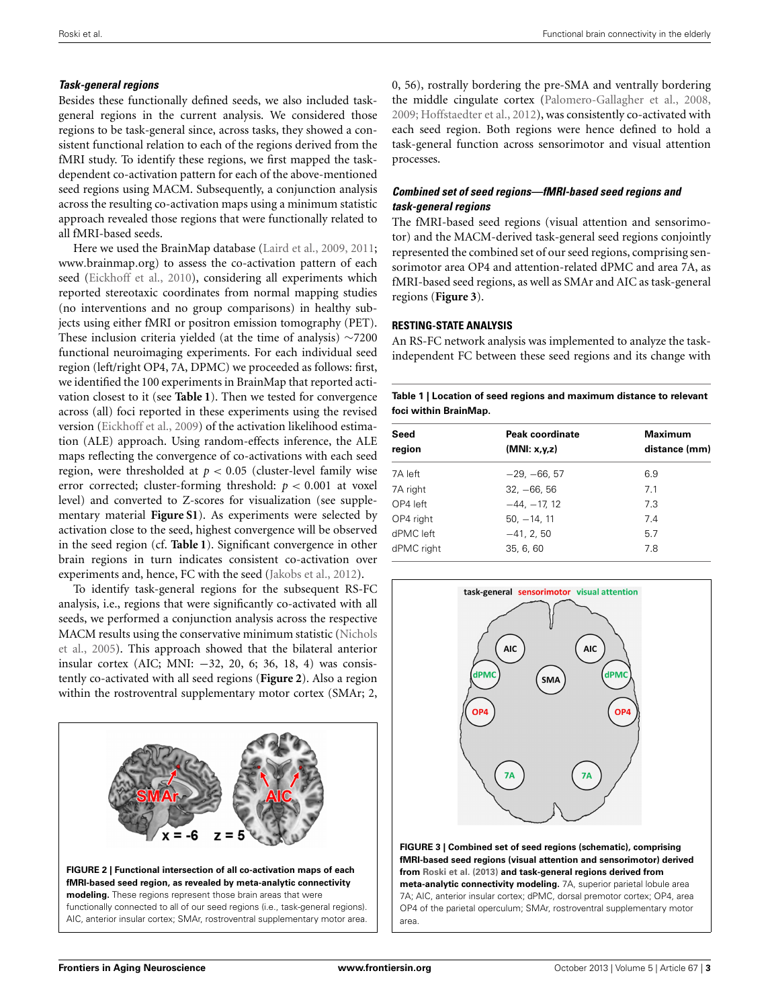## *Task-general regions*

Besides these functionally defined seeds, we also included taskgeneral regions in the current analysis. We considered those regions to be task-general since, across tasks, they showed a consistent functional relation to each of the regions derived from the fMRI study. To identify these regions, we first mapped the taskdependent co-activation pattern for each of the above-mentioned seed regions using MACM. Subsequently, a conjunction analysis across the resulting co-activation maps using a minimum statistic approach revealed those regions that were functionally related to all fMRI-based seeds.

Here we used the BrainMap database [\(Laird et al., 2009,](#page-9-8) [2011;](#page-9-9) www*.*[brainmap](www.brainmap.org)*.*org) to assess the co-activation pattern of each seed [\(Eickhoff et al., 2010](#page-8-7)), considering all experiments which reported stereotaxic coordinates from normal mapping studies (no interventions and no group comparisons) in healthy subjects using either fMRI or positron emission tomography (PET). These inclusion criteria yielded (at the time of analysis) ∼7200 functional neuroimaging experiments. For each individual seed region (left/right OP4, 7A, DPMC) we proceeded as follows: first, we identified the 100 experiments in BrainMap that reported activation closest to it (see **[Table 1](#page-2-0)**). Then we tested for convergence across (all) foci reported in these experiments using the revised version [\(Eickhoff et al., 2009](#page-8-13)) of the activation likelihood estimation (ALE) approach. Using random-effects inference, the ALE maps reflecting the convergence of co-activations with each seed region, were thresholded at  $p < 0.05$  (cluster-level family wise error corrected; cluster-forming threshold: *p <* 0*.*001 at voxel level) and converted to Z-scores for visualization (see supplementary material **Figure S1**). As experiments were selected by activation close to the seed, highest convergence will be observed in the seed region (cf. **[Table 1](#page-2-0)**). Significant convergence in other brain regions in turn indicates consistent co-activation over experiments and, hence, FC with the seed [\(Jakobs et al.](#page-8-14), [2012](#page-8-14)).

To identify task-general regions for the subsequent RS-FC analysis, i.e., regions that were significantly co-activated with all seeds, we performed a conjunction analysis across the respective MA[CM](#page-9-10) [results](#page-9-10) [using](#page-9-10) [the](#page-9-10) [conservative](#page-9-10) [minimum](#page-9-10) [statistic](#page-9-10) [\(](#page-9-10)Nichols et al., [2005](#page-9-10)). This approach showed that the bilateral anterior insular cortex (AIC; MNI: −32, 20, 6; 36, 18, 4) was consistently co-activated with all seed regions (**[Figure 2](#page-2-1)**). Also a region within the rostroventral supplementary motor cortex (SMAr; 2,

<span id="page-2-1"></span>

0, 56), rostrally bordering the pre-SMA and ventrally bordering the middle cingulate cortex [\(Palomero-Gallagher et al., 2008,](#page-9-11) [2009](#page-9-12); [Hoffstaedter et al.](#page-8-15), [2012\)](#page-8-15), was consistently co-activated with each seed region. Both regions were hence defined to hold a task-general function across sensorimotor and visual attention processes.

# *Combined set of seed regions—fMRI-based seed regions and task-general regions*

The fMRI-based seed regions (visual attention and sensorimotor) and the MACM-derived task-general seed regions conjointly represented the combined set of our seed regions, comprising sensorimotor area OP4 and attention-related dPMC and area 7A, as fMRI-based seed regions, as well as SMAr and AIC as task-general regions (**[Figure 3](#page-2-2)**).

## **RESTING-STATE ANALYSIS**

An RS-FC network analysis was implemented to analyze the taskindependent FC between these seed regions and its change with

<span id="page-2-0"></span>

| Table 1   Location of seed regions and maximum distance to relevant |
|---------------------------------------------------------------------|
| foci within BrainMap.                                               |

| Seed       | Peak coordinate | <b>Maximum</b><br>distance (mm) |  |
|------------|-----------------|---------------------------------|--|
| region     | (MNI: x,y,z)    |                                 |  |
| 7A left    | $-29, -66, 57$  | 6.9                             |  |
| 7A right   | $32, -66, 56$   | 7.1                             |  |
| OP4 left   | $-44, -17, 12$  | 7.3                             |  |
| OP4 right  | $50, -14, 11$   | 7.4                             |  |
| dPMC left  | $-41, 2, 50$    | 5.7                             |  |
| dPMC right | 35, 6, 60       | 7.8                             |  |



<span id="page-2-2"></span>**FIGURE 3 | Combined set of seed regions (schematic), comprising fMRI-based seed regions (visual attention and sensorimotor) derived from [Roski et al.](#page-9-3) [\(2013](#page-9-3)) and task-general regions derived from meta-analytic connectivity modeling.** 7A, superior parietal lobule area 7A; AIC, anterior insular cortex; dPMC, dorsal premotor cortex; OP4, area OP4 of the parietal operculum; SMAr, rostroventral supplementary motor area.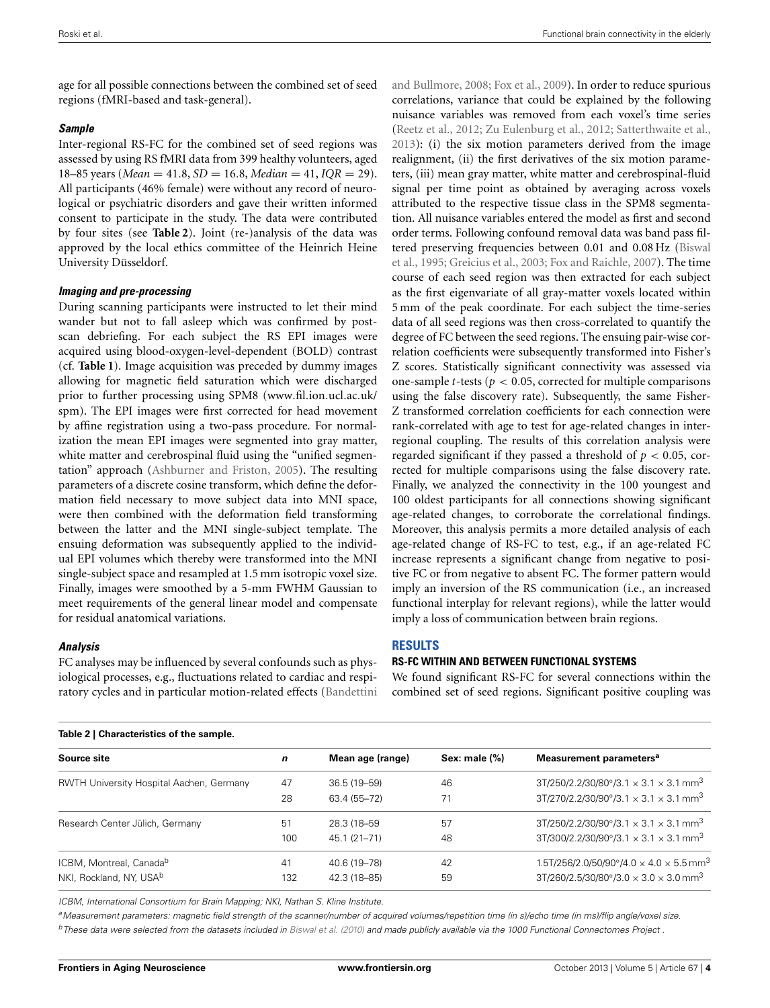age for all possible connections between the combined set of seed regions (fMRI-based and task-general).

#### *Sample*

Inter-regional RS-FC for the combined set of seed regions was assessed by using RS fMRI data from 399 healthy volunteers, aged 18–85 years (*Mean* = 41.8, *SD* = 16.8, *Median* = 41, *IQR* = 29). All participants (46% female) were without any record of neurological or psychiatric disorders and gave their written informed consent to participate in the study. The data were contributed by four sites (see **[Table 2](#page-3-0)**). Joint (re-)analysis of the data was approved by the local ethics committee of the Heinrich Heine University Düsseldorf.

#### *Imaging and pre-processing*

During scanning participants were instructed to let their mind wander but not to fall asleep which was confirmed by postscan debriefing. For each subject the RS EPI images were acquired using blood-oxygen-level-dependent (BOLD) contrast (cf. **[Table 1](#page-2-0)**). Image acquisition was preceded by dummy images allowing for magnetic field saturation which were discharged prior to further processing using SPM8 [\(www](www.fil.ion.ucl.ac.uk/spm)*.*fil*.*ion*.*ucl*.*ac*.*uk/ [spm\)](www.fil.ion.ucl.ac.uk/spm). The EPI images were first corrected for head movement by affine registration using a two-pass procedure. For normalization the mean EPI images were segmented into gray matter, white matter and cerebrospinal fluid using the "unified segmentation" approach [\(Ashburner and Friston, 2005\)](#page-8-16). The resulting parameters of a discrete cosine transform, which define the deformation field necessary to move subject data into MNI space, were then combined with the deformation field transforming between the latter and the MNI single-subject template. The ensuing deformation was subsequently applied to the individual EPI volumes which thereby were transformed into the MNI single-subject space and resampled at 1.5 mm isotropic voxel size. Finally, images were smoothed by a 5-mm FWHM Gaussian to meet requirements of the general linear model and compensate for residual anatomical variations.

#### *Analysis*

FC analyses may be influenced by several confounds such as physiological processes, e.g., fluctuations related to cardiac and respiratory cycles and in particular motion-related effects (Bandettini and Bullmore, [2008;](#page-8-17) [Fox et al., 2009](#page-8-18)). In order to reduce spurious correlations, variance that could be explained by the following nuisance variables was removed from each voxel's time series [\(Reetz et al., 2012;](#page-9-13) [Zu Eulenburg et al.](#page-9-14), [2012](#page-9-14); [Satterthwaite et al.](#page-9-15), [2013](#page-9-15)): (i) the six motion parameters derived from the image realignment, (ii) the first derivatives of the six motion parameters, (iii) mean gray matter, white matter and cerebrospinal-fluid signal per time point as obtained by averaging across voxels attributed to the respective tissue class in the SPM8 segmentation. All nuisance variables entered the model as first and second order terms. Following confound removal data was band pass filtere[d preserving frequencies between 0.01 and 0.08 Hz \(](#page-8-19)Biswal et al., [1995](#page-8-19); [Greicius et al., 2003](#page-8-20); [Fox and Raichle](#page-8-21), [2007\)](#page-8-21). The time course of each seed region was then extracted for each subject as the first eigenvariate of all gray-matter voxels located within 5 mm of the peak coordinate. For each subject the time-series data of all seed regions was then cross-correlated to quantify the degree of FC between the seed regions. The ensuing pair-wise correlation coefficients were subsequently transformed into Fisher's Z scores. Statistically significant connectivity was assessed via one-sample *t*-tests ( $p < 0.05$ , corrected for multiple comparisons using the false discovery rate). Subsequently, the same Fisher-Z transformed correlation coefficients for each connection were rank-correlated with age to test for age-related changes in interregional coupling. The results of this correlation analysis were regarded significant if they passed a threshold of  $p < 0.05$ , corrected for multiple comparisons using the false discovery rate. Finally, we analyzed the connectivity in the 100 youngest and 100 oldest participants for all connections showing significant age-related changes, to corroborate the correlational findings. Moreover, this analysis permits a more detailed analysis of each age-related change of RS-FC to test, e.g., if an age-related FC increase represents a significant change from negative to positive FC or from negative to absent FC. The former pattern would imply an inversion of the RS communication (i.e., an increased functional interplay for relevant regions), while the latter would imply a loss of communication between brain regions.

#### **RESULTS**

#### **RS-FC WITHIN AND BETWEEN FUNCTIONAL SYSTEMS**

We found significant RS-FC for several connections within the combined set of seed regions. Significant positive coupling was

<span id="page-3-0"></span>

| Table 2   Characteristics of the sample. |     |                  |               |                                                                      |  |  |
|------------------------------------------|-----|------------------|---------------|----------------------------------------------------------------------|--|--|
| Source site                              | n   | Mean age (range) | Sex: male (%) | Measurement parameters <sup>a</sup>                                  |  |  |
| RWTH University Hospital Aachen, Germany | 47  | 36.5 (19–59)     | 46            | $3T/250/2.2/30/80^{\circ}/3.1 \times 3.1 \times 3.1$ mm <sup>3</sup> |  |  |
|                                          | 28  | 63.4 (55-72)     | 71            | $3T/270/2.2/30/90^{\circ}/3.1 \times 3.1 \times 3.1$ mm <sup>3</sup> |  |  |
| Research Center Jülich, Germany          | 51  | 28.3 (18-59)     | 57            | $3T/250/2.2/30/90^{\circ}/3.1 \times 3.1 \times 3.1$ mm <sup>3</sup> |  |  |
|                                          | 100 | 45.1 (21-71)     | 48            | $3T/300/2.2/30/90^{\circ}/3.1 \times 3.1 \times 3.1$ mm <sup>3</sup> |  |  |
| ICBM, Montreal, Canada <sup>b</sup>      | 41  | 40.6 (19-78)     | 42            | 1.5T/256/2.0/50/90°/4.0 $\times$ 4.0 $\times$ 5.5 mm <sup>3</sup>    |  |  |
| NKI, Rockland, NY, USAb                  | 132 | 42.3 (18-85)     | 59            | $3T/260/2.5/30/80^{\circ}/3.0 \times 3.0 \times 3.0$ mm <sup>3</sup> |  |  |

*ICBM, International Consortium for Brain Mapping; NKI, Nathan S. Kline Institute.*

*aMeasurement parameters: magnetic field strength of the scanner/number of acquired volumes/repetition time (in s)/echo time (in ms)/flip angle/voxel size. bThese data were selected from the datasets included in [Biswal et al. \(2010\)](#page-8-22) and made publicly available via the 1000 Functional Connectomes Project [.]((http://fcon_1000.projects.nitrc.org))*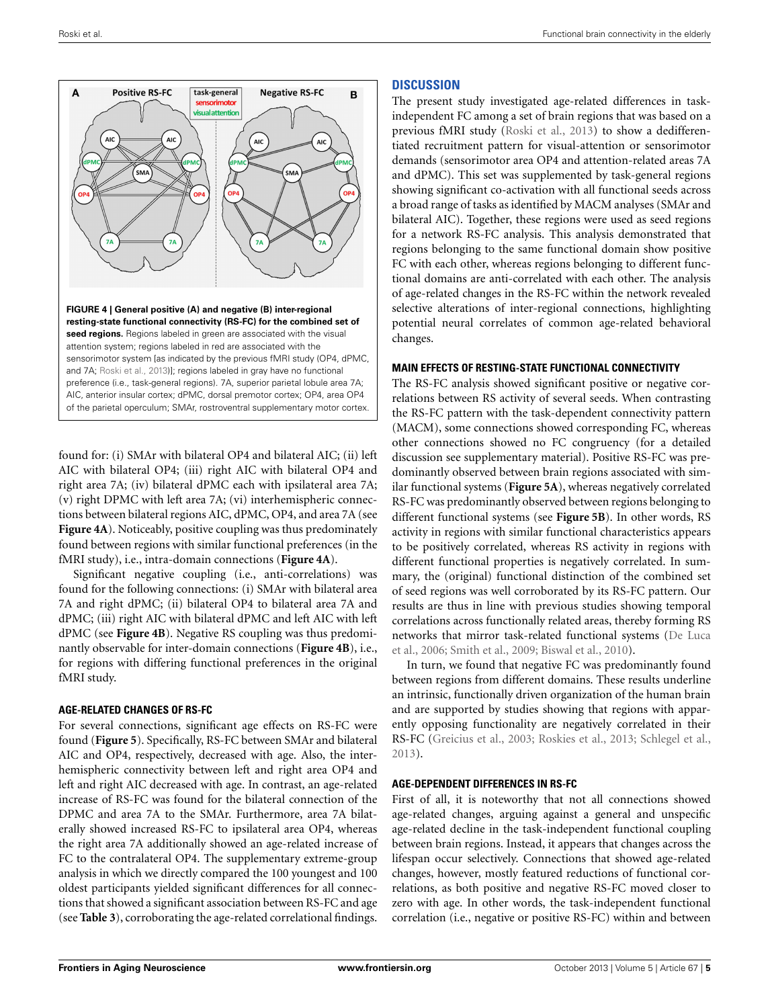

<span id="page-4-0"></span>found for: (i) SMAr with bilateral OP4 and bilateral AIC; (ii) left AIC with bilateral OP4; (iii) right AIC with bilateral OP4 and right area 7A; (iv) bilateral dPMC each with ipsilateral area 7A; (v) right DPMC with left area 7A; (vi) interhemispheric connections between bilateral regions AIC, dPMC, OP4, and area 7A (see **[Figure 4A](#page-4-0)**). Noticeably, positive coupling was thus predominately found between regions with similar functional preferences (in the fMRI study), i.e., intra-domain connections (**[Figure 4A](#page-4-0)**).

Significant negative coupling (i.e., anti-correlations) was found for the following connections: (i) SMAr with bilateral area 7A and right dPMC; (ii) bilateral OP4 to bilateral area 7A and dPMC; (iii) right AIC with bilateral dPMC and left AIC with left dPMC (see **[Figure 4B](#page-4-0)**). Negative RS coupling was thus predominantly observable for inter-domain connections (**[Figure 4B](#page-4-0)**), i.e., for regions with differing functional preferences in the original fMRI study.

#### **AGE-RELATED CHANGES OF RS-FC**

For several connections, significant age effects on RS-FC were found (**[Figure 5](#page-5-0)**). Specifically, RS-FC between SMAr and bilateral AIC and OP4, respectively, decreased with age. Also, the interhemispheric connectivity between left and right area OP4 and left and right AIC decreased with age. In contrast, an age-related increase of RS-FC was found for the bilateral connection of the DPMC and area 7A to the SMAr. Furthermore, area 7A bilaterally showed increased RS-FC to ipsilateral area OP4, whereas the right area 7A additionally showed an age-related increase of FC to the contralateral OP4. The supplementary extreme-group analysis in which we directly compared the 100 youngest and 100 oldest participants yielded significant differences for all connections that showed a significant association between RS-FC and age (see **[Table 3](#page-6-0)**), corroborating the age-related correlational findings.

## **DISCUSSION**

The present study investigated age-related differences in taskindependent FC among a set of brain regions that was based on a previous fMRI study [\(Roski et al., 2013\)](#page-9-3) to show a dedifferentiated recruitment pattern for visual-attention or sensorimotor demands (sensorimotor area OP4 and attention-related areas 7A and dPMC). This set was supplemented by task-general regions showing significant co-activation with all functional seeds across a broad range of tasks as identified by MACM analyses (SMAr and bilateral AIC). Together, these regions were used as seed regions for a network RS-FC analysis. This analysis demonstrated that regions belonging to the same functional domain show positive FC with each other, whereas regions belonging to different functional domains are anti-correlated with each other. The analysis of age-related changes in the RS-FC within the network revealed selective alterations of inter-regional connections, highlighting potential neural correlates of common age-related behavioral changes.

#### **MAIN EFFECTS OF RESTING-STATE FUNCTIONAL CONNECTIVITY**

The RS-FC analysis showed significant positive or negative correlations between RS activity of several seeds. When contrasting the RS-FC pattern with the task-dependent connectivity pattern (MACM), some connections showed corresponding FC, whereas other connections showed no FC congruency (for a detailed discussion see supplementary material). Positive RS-FC was predominantly observed between brain regions associated with similar functional systems (**[Figure 5A](#page-5-0)**), whereas negatively correlated RS-FC was predominantly observed between regions belonging to different functional systems (see **[Figure 5B](#page-5-0)**). In other words, RS activity in regions with similar functional characteristics appears to be positively correlated, whereas RS activity in regions with different functional properties is negatively correlated. In summary, the (original) functional distinction of the combined set of seed regions was well corroborated by its RS-FC pattern. Our results are thus in line with previous studies showing temporal correlations across functionally related areas, thereby forming RS net[works that mirror task-related functional systems \(](#page-8-23)De Luca et al., [2006;](#page-8-23) [Smith et al.](#page-9-16), [2009;](#page-9-16) [Biswal et al., 2010\)](#page-8-22).

In turn, we found that negative FC was predominantly found between regions from different domains. These results underline an intrinsic, functionally driven organization of the human brain and are supported by studies showing that regions with apparently opposing functionality are negatively correlated in their RS-FC [\(Greicius et al., 2003](#page-8-20); [Roskies et al., 2013](#page-9-17); [Schlegel et al.,](#page-9-18) [2013](#page-9-18)).

#### **AGE-DEPENDENT DIFFERENCES IN RS-FC**

First of all, it is noteworthy that not all connections showed age-related changes, arguing against a general and unspecific age-related decline in the task-independent functional coupling between brain regions. Instead, it appears that changes across the lifespan occur selectively. Connections that showed age-related changes, however, mostly featured reductions of functional correlations, as both positive and negative RS-FC moved closer to zero with age. In other words, the task-independent functional correlation (i.e., negative or positive RS-FC) within and between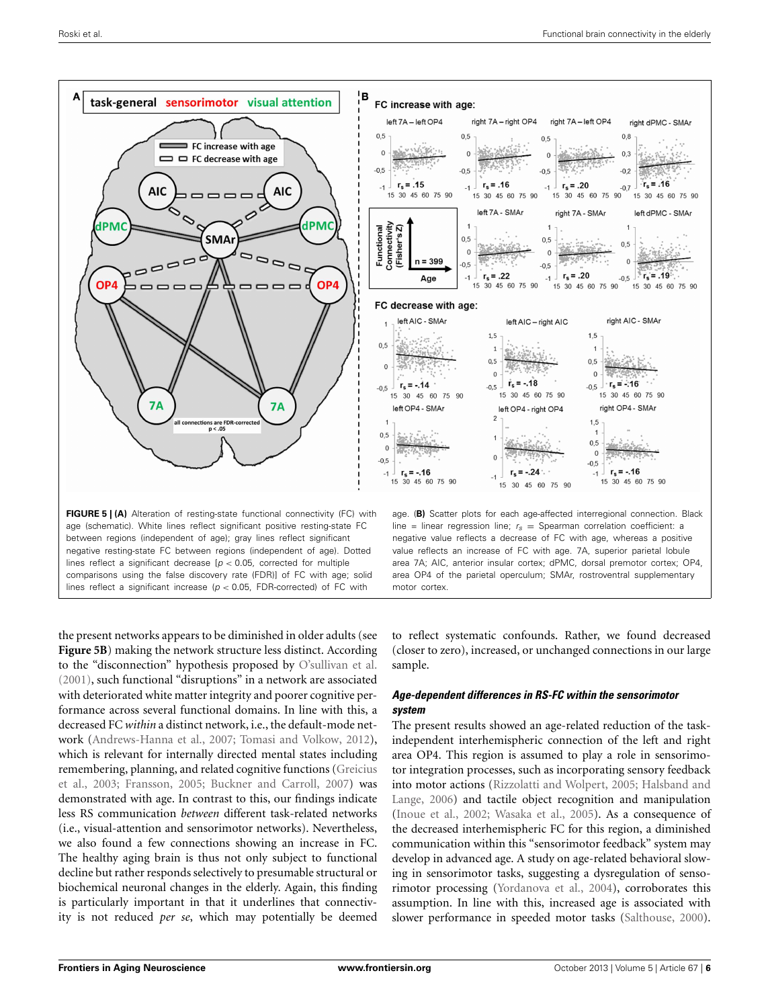

<span id="page-5-0"></span>the present networks appears to be diminished in older adults (see **[Figure 5B](#page-5-0)**) making the network structure less distinct. According to the "disconnection" hypothesis proposed by [O'sullivan et al.](#page-9-19) [\(2001\)](#page-9-19), such functional "disruptions" in a network are associated with deteriorated white matter integrity and poorer cognitive performance across several functional domains. In line with this, a decreased FC *within* a distinct network, i.e., the default-mode network [\(Andrews-Hanna et al.](#page-8-24), [2007](#page-8-24); [Tomasi and Volkow](#page-9-20), [2012](#page-9-20)), which is relevant for internally directed mental states including reme[mbering, planning, and related cognitive functions \(](#page-8-20)Greicius et al., [2003](#page-8-20); [Fransson](#page-8-25), [2005](#page-8-25); [Buckner and Carroll, 2007\)](#page-8-26) was demonstrated with age. In contrast to this, our findings indicate less RS communication *between* different task-related networks (i.e., visual-attention and sensorimotor networks). Nevertheless, we also found a few connections showing an increase in FC. The healthy aging brain is thus not only subject to functional decline but rather responds selectively to presumable structural or biochemical neuronal changes in the elderly. Again, this finding is particularly important in that it underlines that connectivity is not reduced *per se*, which may potentially be deemed

to reflect systematic confounds. Rather, we found decreased (closer to zero), increased, or unchanged connections in our large sample.

### *Age-dependent differences in RS-FC within the sensorimotor system*

The present results showed an age-related reduction of the taskindependent interhemispheric connection of the left and right area OP4. This region is assumed to play a role in sensorimotor integration processes, such as incorporating sensory feedback into [motor actions](#page-8-27) [\(Rizzolatti and Wolpert](#page-9-21)[,](#page-8-27) [2005](#page-9-21)[;](#page-8-27) Halsband and Lange, [2006\)](#page-8-27) and tactile object recognition and manipulation [\(Inoue et al.](#page-8-28), [2002;](#page-8-28) [Wasaka et al., 2005](#page-9-22)). As a consequence of the decreased interhemispheric FC for this region, a diminished communication within this "sensorimotor feedback" system may develop in advanced age. A study on age-related behavioral slowing in sensorimotor tasks, suggesting a dysregulation of sensorimotor processing [\(Yordanova et al.](#page-9-23), [2004\)](#page-9-23), corroborates this assumption. In line with this, increased age is associated with slower performance in speeded motor tasks [\(Salthouse, 2000\)](#page-9-24).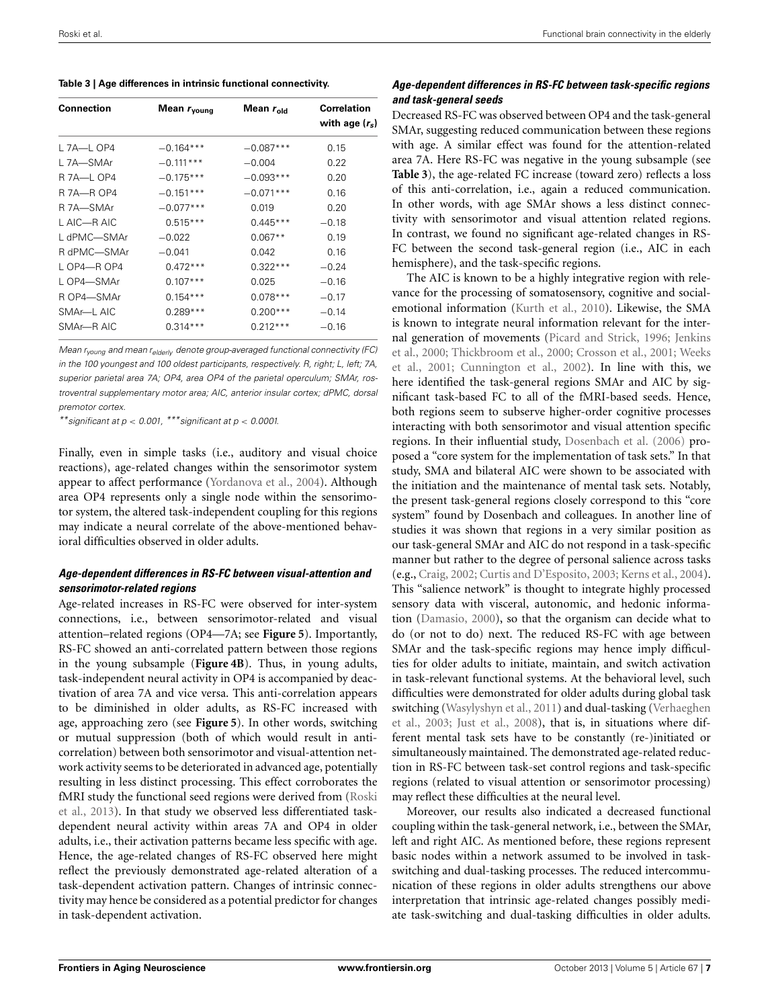<span id="page-6-0"></span>**Table 3 | Age differences in intrinsic functional connectivity.**

| <b>Connection</b> | Mean $r_{\text{voung}}$ | Mean $r_{old}$ | <b>Correlation</b><br>with age $(r_s)$ |  |
|-------------------|-------------------------|----------------|----------------------------------------|--|
| L 7A-L OP4        | $-0.164***$             | $-0.087***$    | 0.15                                   |  |
| L 7A—SMAr         | $-0.111***$             | $-0.004$       | 0.22                                   |  |
| R 7A-L OP4        | $-0.175***$             | $-0.093***$    | 0.20                                   |  |
| R 7A-R OP4        | $-0.151***$             | $-0.071***$    | 0.16                                   |  |
| R 7A—SMAr         | $-0.077***$             | 0.019          | 0.20                                   |  |
| L AIC—R AIC       | $0.515***$              | $0.445***$     | $-0.18$                                |  |
| L dPMC—SMAr       | $-0.022$                | $0.067**$      | 0.19                                   |  |
| R dPMC—SMAr       | $-0.041$                | 0.042          | 0.16                                   |  |
| L OP4—R OP4       | $0.472***$              | $0.322***$     | $-0.24$                                |  |
| L OP4-SMAr        | $0.107***$              | 0.025          | $-0.16$                                |  |
| R OP4-SMAr        | $0.154***$              | $0.078***$     | $-0.17$                                |  |
| SMAr—L AIC        | $0.289***$              | $0.200***$     | $-0.14$                                |  |
| SMAr-R AIC        | $0.314***$              | $0.212***$     | $-0.16$                                |  |
|                   |                         |                |                                        |  |

*Mean ryoung and mean relderly denote group-averaged functional connectivity (FC) in the 100 youngest and 100 oldest participants, respectively. R, right; L, left; 7A, superior parietal area 7A; OP4, area OP4 of the parietal operculum; SMAr, rostroventral supplementary motor area; AIC, anterior insular cortex; dPMC, dorsal premotor cortex.*

*\*\*significant at p < 0.001, \*\*\*significant at p < 0.0001.*

Finally, even in simple tasks (i.e., auditory and visual choice reactions), age-related changes within the sensorimotor system appear to affect performance [\(Yordanova et al.](#page-9-23), [2004](#page-9-23)). Although area OP4 represents only a single node within the sensorimotor system, the altered task-independent coupling for this regions may indicate a neural correlate of the above-mentioned behavioral difficulties observed in older adults.

## *Age-dependent differences in RS-FC between visual-attention and sensorimotor-related regions*

Age-related increases in RS-FC were observed for inter-system connections, i.e., between sensorimotor-related and visual attention–related regions (OP4—7A; see **[Figure 5](#page-5-0)**). Importantly, RS-FC showed an anti-correlated pattern between those regions in the young subsample (**[Figure 4B](#page-4-0)**). Thus, in young adults, task-independent neural activity in OP4 is accompanied by deactivation of area 7A and vice versa. This anti-correlation appears to be diminished in older adults, as RS-FC increased with age, approaching zero (see **[Figure 5](#page-5-0)**). In other words, switching or mutual suppression (both of which would result in anticorrelation) between both sensorimotor and visual-attention network activity seems to be deteriorated in advanced age, potentially resulting in less distinct processing. This effect corroborates the fMR[I](#page-9-3) [study](#page-9-3) [the](#page-9-3) [functional](#page-9-3) [seed](#page-9-3) [regions](#page-9-3) [were](#page-9-3) [derived](#page-9-3) [from](#page-9-3) [\(](#page-9-3)Roski et al., [2013](#page-9-3)). In that study we observed less differentiated taskdependent neural activity within areas 7A and OP4 in older adults, i.e., their activation patterns became less specific with age. Hence, the age-related changes of RS-FC observed here might reflect the previously demonstrated age-related alteration of a task-dependent activation pattern. Changes of intrinsic connectivity may hence be considered as a potential predictor for changes in task-dependent activation.

## *Age-dependent differences in RS-FC between task-specific regions and task-general seeds*

Decreased RS-FC was observed between OP4 and the task-general SMAr, suggesting reduced communication between these regions with age. A similar effect was found for the attention-related area 7A. Here RS-FC was negative in the young subsample (see **[Table 3](#page-6-0)**), the age-related FC increase (toward zero) reflects a loss of this anti-correlation, i.e., again a reduced communication. In other words, with age SMAr shows a less distinct connectivity with sensorimotor and visual attention related regions. In contrast, we found no significant age-related changes in RS-FC between the second task-general region (i.e., AIC in each hemisphere), and the task-specific regions.

The AIC is known to be a highly integrative region with relevance for the processing of somatosensory, cognitive and socialemotional information [\(Kurth et al., 2010\)](#page-9-25). Likewise, the SMA is known to integrate neural information relevant for the internal [generation](#page-8-29) [of](#page-8-29) [movements](#page-8-29) [\(Picard and Strick](#page-9-26)[,](#page-8-29) [1996](#page-9-26)[;](#page-8-29) Jenkins et al., [2000;](#page-8-29) [Thickbroom et al.](#page-9-27)[,](#page-9-28) [2000](#page-9-27)[;](#page-9-28) [Crosson et al.](#page-8-30)[,](#page-9-28) [2001](#page-8-30)[;](#page-9-28) Weeks et al., [2001](#page-9-28); [Cunnington et al.](#page-8-31), [2002\)](#page-8-31). In line with this, we here identified the task-general regions SMAr and AIC by significant task-based FC to all of the fMRI-based seeds. Hence, both regions seem to subserve higher-order cognitive processes interacting with both sensorimotor and visual attention specific regions. In their influential study, [Dosenbach et al.](#page-8-32) [\(2006](#page-8-32)) proposed a "core system for the implementation of task sets." In that study, SMA and bilateral AIC were shown to be associated with the initiation and the maintenance of mental task sets. Notably, the present task-general regions closely correspond to this "core system" found by Dosenbach and colleagues. In another line of studies it was shown that regions in a very similar position as our task-general SMAr and AIC do not respond in a task-specific manner but rather to the degree of personal salience across tasks (e.g., [Craig](#page-8-33), [2002;](#page-8-33) [Curtis and D'Esposito, 2003](#page-8-34); [Kerns et al., 2004](#page-8-35)). This "salience network" is thought to integrate highly processed sensory data with visceral, autonomic, and hedonic information [\(Damasio](#page-8-36), [2000](#page-8-36)), so that the organism can decide what to do (or not to do) next. The reduced RS-FC with age between SMAr and the task-specific regions may hence imply difficulties for older adults to initiate, maintain, and switch activation in task-relevant functional systems. At the behavioral level, such difficulties were demonstrated for older adults during global task switc[hing](#page-9-30) [\(Wasylyshyn et al.](#page-9-29)[,](#page-9-30) [2011](#page-9-29)[\) and dual-tasking \(](#page-9-30)Verhaeghen et al., [2003](#page-9-30); [Just et al.](#page-8-37), [2008\)](#page-8-37), that is, in situations where different mental task sets have to be constantly (re-)initiated or simultaneously maintained. The demonstrated age-related reduction in RS-FC between task-set control regions and task-specific regions (related to visual attention or sensorimotor processing) may reflect these difficulties at the neural level.

Moreover, our results also indicated a decreased functional coupling within the task-general network, i.e., between the SMAr, left and right AIC. As mentioned before, these regions represent basic nodes within a network assumed to be involved in taskswitching and dual-tasking processes. The reduced intercommunication of these regions in older adults strengthens our above interpretation that intrinsic age-related changes possibly mediate task-switching and dual-tasking difficulties in older adults.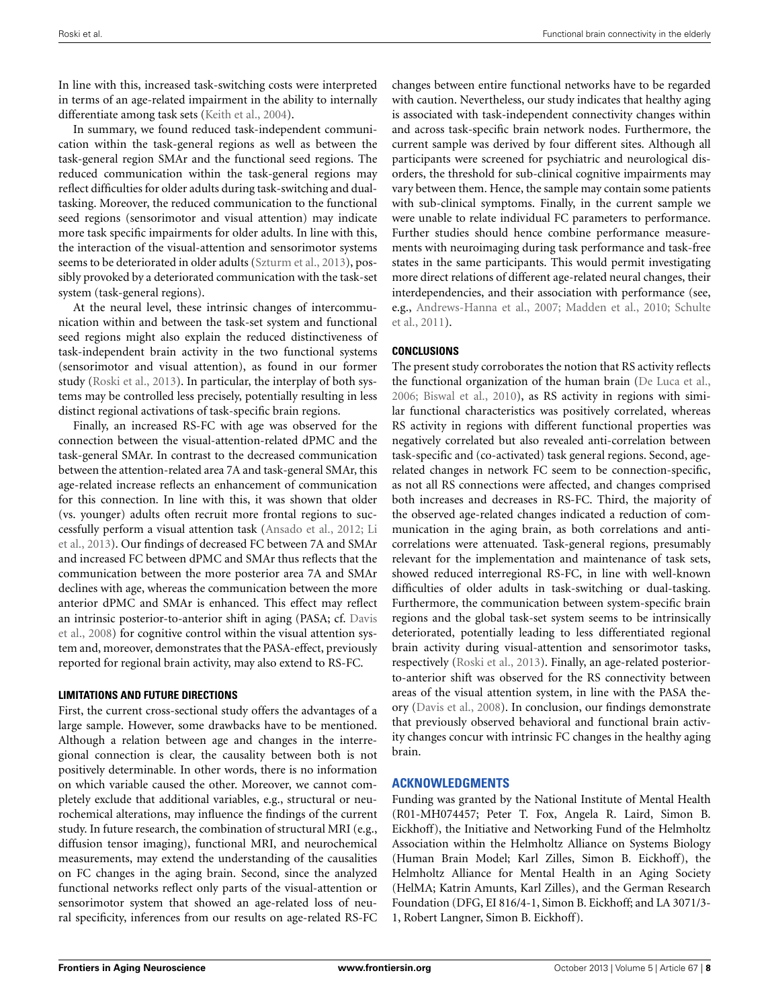In line with this, increased task-switching costs were interpreted in terms of an age-related impairment in the ability to internally differentiate among task sets [\(Keith et al.](#page-8-38), [2004\)](#page-8-38).

In summary, we found reduced task-independent communication within the task-general regions as well as between the task-general region SMAr and the functional seed regions. The reduced communication within the task-general regions may reflect difficulties for older adults during task-switching and dualtasking. Moreover, the reduced communication to the functional seed regions (sensorimotor and visual attention) may indicate more task specific impairments for older adults. In line with this, the interaction of the visual-attention and sensorimotor systems seems to be deteriorated in older adults [\(Szturm et al., 2013](#page-9-31)), possibly provoked by a deteriorated communication with the task-set system (task-general regions).

At the neural level, these intrinsic changes of intercommunication within and between the task-set system and functional seed regions might also explain the reduced distinctiveness of task-independent brain activity in the two functional systems (sensorimotor and visual attention), as found in our former study [\(Roski et al.](#page-9-3), [2013](#page-9-3)). In particular, the interplay of both systems may be controlled less precisely, potentially resulting in less distinct regional activations of task-specific brain regions.

Finally, an increased RS-FC with age was observed for the connection between the visual-attention-related dPMC and the task-general SMAr. In contrast to the decreased communication between the attention-related area 7A and task-general SMAr, this age-related increase reflects an enhancement of communication for this connection. In line with this, it was shown that older (vs. younger) adults often recruit more frontal regions to successf[ully perform a visual attention task](#page-9-32) [\(Ansado et al., 2012](#page-8-39)[;](#page-9-32) Li et al., [2013\)](#page-9-32). Our findings of decreased FC between 7A and SMAr and increased FC between dPMC and SMAr thus reflects that the communication between the more posterior area 7A and SMAr declines with age, whereas the communication between the more anterior dPMC and SMAr is enhanced. This effect may reflect an i[ntrinsic](#page-8-40) [posterior-to-anterior](#page-8-40) [shift](#page-8-40) [in](#page-8-40) [aging](#page-8-40) [\(PASA;](#page-8-40) [cf.](#page-8-40) Davis et al., [2008\)](#page-8-40) for cognitive control within the visual attention system and, moreover, demonstrates that the PASA-effect, previously reported for regional brain activity, may also extend to RS-FC.

#### **LIMITATIONS AND FUTURE DIRECTIONS**

First, the current cross-sectional study offers the advantages of a large sample. However, some drawbacks have to be mentioned. Although a relation between age and changes in the interregional connection is clear, the causality between both is not positively determinable. In other words, there is no information on which variable caused the other. Moreover, we cannot completely exclude that additional variables, e.g., structural or neurochemical alterations, may influence the findings of the current study. In future research, the combination of structural MRI (e.g., diffusion tensor imaging), functional MRI, and neurochemical measurements, may extend the understanding of the causalities on FC changes in the aging brain. Second, since the analyzed functional networks reflect only parts of the visual-attention or sensorimotor system that showed an age-related loss of neural specificity, inferences from our results on age-related RS-FC changes between entire functional networks have to be regarded with caution. Nevertheless, our study indicates that healthy aging is associated with task-independent connectivity changes within and across task-specific brain network nodes. Furthermore, the current sample was derived by four different sites. Although all participants were screened for psychiatric and neurological disorders, the threshold for sub-clinical cognitive impairments may vary between them. Hence, the sample may contain some patients with sub-clinical symptoms. Finally, in the current sample we were unable to relate individual FC parameters to performance. Further studies should hence combine performance measurements with neuroimaging during task performance and task-free states in the same participants. This would permit investigating more direct relations of different age-related neural changes, their interdependencies, and their association with performance (see, e.g., [Andrews-Hanna et al., 2007;](#page-8-24) [Madden et al.](#page-9-33)[,](#page-9-34) [2010](#page-9-33)[;](#page-9-34) Schulte et al., [2011\)](#page-9-34).

## **CONCLUSIONS**

The present study corroborates the notion that RS activity reflects the functional organization of the human brain [\(De Luca et al.](#page-8-23), [2006](#page-8-23); [Biswal et al.](#page-8-22), [2010](#page-8-22)), as RS activity in regions with similar functional characteristics was positively correlated, whereas RS activity in regions with different functional properties was negatively correlated but also revealed anti-correlation between task-specific and (co-activated) task general regions. Second, agerelated changes in network FC seem to be connection-specific, as not all RS connections were affected, and changes comprised both increases and decreases in RS-FC. Third, the majority of the observed age-related changes indicated a reduction of communication in the aging brain, as both correlations and anticorrelations were attenuated. Task-general regions, presumably relevant for the implementation and maintenance of task sets, showed reduced interregional RS-FC, in line with well-known difficulties of older adults in task-switching or dual-tasking. Furthermore, the communication between system-specific brain regions and the global task-set system seems to be intrinsically deteriorated, potentially leading to less differentiated regional brain activity during visual-attention and sensorimotor tasks, respectively [\(Roski et al., 2013\)](#page-9-3). Finally, an age-related posteriorto-anterior shift was observed for the RS connectivity between areas of the visual attention system, in line with the PASA theory [\(Davis et al.](#page-8-40), [2008](#page-8-40)). In conclusion, our findings demonstrate that previously observed behavioral and functional brain activity changes concur with intrinsic FC changes in the healthy aging brain.

## **ACKNOWLEDGMENTS**

Funding was granted by the National Institute of Mental Health (R01-MH074457; Peter T. Fox, Angela R. Laird, Simon B. Eickhoff), the Initiative and Networking Fund of the Helmholtz Association within the Helmholtz Alliance on Systems Biology (Human Brain Model; Karl Zilles, Simon B. Eickhoff), the Helmholtz Alliance for Mental Health in an Aging Society (HelMA; Katrin Amunts, Karl Zilles), and the German Research Foundation (DFG, EI 816/4-1, Simon B. Eickhoff; and LA 3071/3- 1, Robert Langner, Simon B. Eickhoff).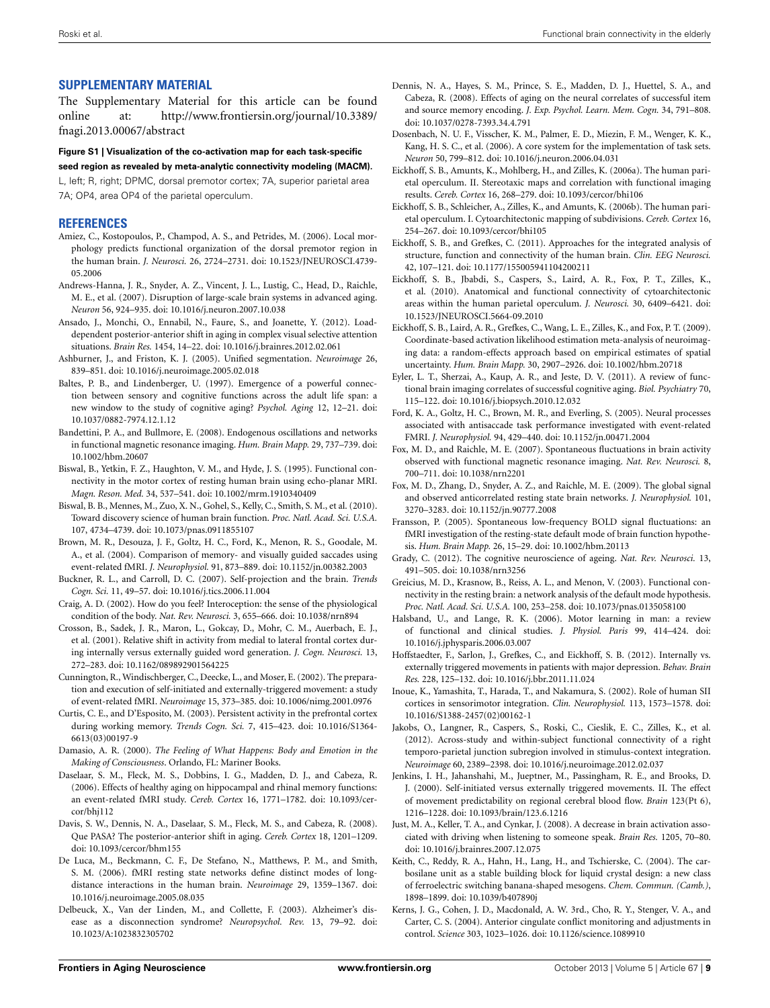## **SUPPLEMENTARY MATERIAL**

The Supplementary Material for this article can be found online at: [http://www.frontiersin.org/journal/10.3389/](http://www.frontiersin.org/journal/10.3389/fnagi.2013.00067/abstract) [fnagi.2013.00067/abstract](http://www.frontiersin.org/journal/10.3389/fnagi.2013.00067/abstract)

# **Figure S1 | Visualization of the co-activation map for each task-specific**

**seed region as revealed by meta-analytic connectivity modeling (MACM).** L, left; R, right; DPMC, dorsal premotor cortex; 7A, superior parietal area 7A; OP4, area OP4 of the parietal operculum.

## **REFERENCES**

- <span id="page-8-12"></span>Amiez, C., Kostopoulos, P., Champod, A. S., and Petrides, M. (2006). Local morphology predicts functional organization of the dorsal premotor region in the human brain. *J. Neurosci.* 26, 2724–2731. doi: 10.1523/JNEUROSCI.4739- 05.2006
- <span id="page-8-24"></span>Andrews-Hanna, J. R., Snyder, A. Z., Vincent, J. L., Lustig, C., Head, D., Raichle, M. E., et al. (2007). Disruption of large-scale brain systems in advanced aging. *Neuron* 56, 924–935. doi: 10.1016/j.neuron.2007.10.038
- <span id="page-8-39"></span>Ansado, J., Monchi, O., Ennabil, N., Faure, S., and Joanette, Y. (2012). Loaddependent posterior-anterior shift in aging in complex visual selective attention situations. *Brain Res.* 1454, 14–22. doi: 10.1016/j.brainres.2012.02.061
- <span id="page-8-16"></span>Ashburner, J., and Friston, K. J. (2005). Unified segmentation. *Neuroimage* 26, 839–851. doi: 10.1016/j.neuroimage.2005.02.018
- <span id="page-8-4"></span>Baltes, P. B., and Lindenberger, U. (1997). Emergence of a powerful connection between sensory and cognitive functions across the adult life span: a new window to the study of cognitive aging? *Psychol. Aging* 12, 12–21. doi: 10.1037/0882-7974.12.1.12
- <span id="page-8-17"></span>Bandettini, P. A., and Bullmore, E. (2008). Endogenous oscillations and networks in functional magnetic resonance imaging. *Hum. Brain Mapp.* 29, 737–739. doi: 10.1002/hbm.20607
- <span id="page-8-19"></span>Biswal, B., Yetkin, F. Z., Haughton, V. M., and Hyde, J. S. (1995). Functional connectivity in the motor cortex of resting human brain using echo-planar MRI. *Magn. Reson. Med.* 34, 537–541. doi: 10.1002/mrm.1910340409
- <span id="page-8-22"></span>Biswal, B. B., Mennes, M., Zuo, X. N., Gohel, S., Kelly, C., Smith, S. M., et al. (2010). Toward discovery science of human brain function. *Proc. Natl. Acad. Sci. U.S.A.* 107, 4734–4739. doi: 10.1073/pnas.0911855107
- <span id="page-8-10"></span>Brown, M. R., Desouza, J. F., Goltz, H. C., Ford, K., Menon, R. S., Goodale, M. A., et al. (2004). Comparison of memory- and visually guided saccades using event-related fMRI. *J. Neurophysiol.* 91, 873–889. doi: 10.1152/jn.00382.2003
- <span id="page-8-26"></span>Buckner, R. L., and Carroll, D. C. (2007). Self-projection and the brain. *Trends Cogn. Sci.* 11, 49–57. doi: 10.1016/j.tics.2006.11.004
- <span id="page-8-33"></span>Craig, A. D. (2002). How do you feel? Interoception: the sense of the physiological condition of the body. *Nat. Rev. Neurosci.* 3, 655–666. doi: 10.1038/nrn894
- <span id="page-8-30"></span>Crosson, B., Sadek, J. R., Maron, L., Gokcay, D., Mohr, C. M., Auerbach, E. J., et al. (2001). Relative shift in activity from medial to lateral frontal cortex during internally versus externally guided word generation. *J. Cogn. Neurosci.* 13, 272–283. doi: 10.1162/089892901564225
- <span id="page-8-31"></span>Cunnington, R., Windischberger, C., Deecke, L., and Moser, E. (2002). The preparation and execution of self-initiated and externally-triggered movement: a study of event-related fMRI. *Neuroimage* 15, 373–385. doi: 10.1006/nimg.2001.0976
- <span id="page-8-34"></span>Curtis, C. E., and D'Esposito, M. (2003). Persistent activity in the prefrontal cortex during working memory. *Trends Cogn. Sci.* 7, 415–423. doi: 10.1016/S1364- 6613(03)00197-9
- <span id="page-8-36"></span>Damasio, A. R. (2000). *The Feeling of What Happens: Body and Emotion in the Making of Consciousness*. Orlando, FL: Mariner Books.
- <span id="page-8-2"></span>Daselaar, S. M., Fleck, M. S., Dobbins, I. G., Madden, D. J., and Cabeza, R. (2006). Effects of healthy aging on hippocampal and rhinal memory functions: an event-related fMRI study. *Cereb. Cortex* 16, 1771–1782. doi: 10.1093/cercor/bhj112
- <span id="page-8-40"></span>Davis, S. W., Dennis, N. A., Daselaar, S. M., Fleck, M. S., and Cabeza, R. (2008). Que PASA? The posterior-anterior shift in aging. *Cereb. Cortex* 18, 1201–1209. doi: 10.1093/cercor/bhm155
- <span id="page-8-23"></span>De Luca, M., Beckmann, C. F., De Stefano, N., Matthews, P. M., and Smith, S. M. (2006). fMRI resting state networks define distinct modes of longdistance interactions in the human brain. *Neuroimage* 29, 1359–1367. doi: 10.1016/j.neuroimage.2005.08.035
- <span id="page-8-5"></span>Delbeuck, X., Van der Linden, M., and Collette, F. (2003). Alzheimer's disease as a disconnection syndrome? *Neuropsychol. Rev.* 13, 79–92. doi: 10.1023/A:1023832305702
- <span id="page-8-3"></span>Dennis, N. A., Hayes, S. M., Prince, S. E., Madden, D. J., Huettel, S. A., and Cabeza, R. (2008). Effects of aging on the neural correlates of successful item and source memory encoding. *J. Exp. Psychol. Learn. Mem. Cogn.* 34, 791–808. doi: 10.1037/0278-7393.34.4.791
- <span id="page-8-32"></span>Dosenbach, N. U. F., Visscher, K. M., Palmer, E. D., Miezin, F. M., Wenger, K. K., Kang, H. S. C., et al. (2006). A core system for the implementation of task sets. *Neuron* 50, 799–812. doi: 10.1016/j.neuron.2006.04.031
- <span id="page-8-8"></span>Eickhoff, S. B., Amunts, K., Mohlberg, H., and Zilles, K. (2006a). The human parietal operculum. II. Stereotaxic maps and correlation with functional imaging results. *Cereb. Cortex* 16, 268–279. doi: 10.1093/cercor/bhi106
- <span id="page-8-9"></span>Eickhoff, S. B., Schleicher, A., Zilles, K., and Amunts, K. (2006b). The human parietal operculum. I. Cytoarchitectonic mapping of subdivisions. *Cereb. Cortex* 16, 254–267. doi: 10.1093/cercor/bhi105
- <span id="page-8-6"></span>Eickhoff, S. B., and Grefkes, C. (2011). Approaches for the integrated analysis of structure, function and connectivity of the human brain. *Clin. EEG Neurosci.* 42, 107–121. doi: 10.1177/155005941104200211
- <span id="page-8-7"></span>Eickhoff, S. B., Jbabdi, S., Caspers, S., Laird, A. R., Fox, P. T., Zilles, K., et al. (2010). Anatomical and functional connectivity of cytoarchitectonic areas within the human parietal operculum. *J. Neurosci.* 30, 6409–6421. doi: 10.1523/JNEUROSCI.5664-09.2010
- <span id="page-8-13"></span>Eickhoff, S. B., Laird, A. R., Grefkes, C., Wang, L. E., Zilles, K., and Fox, P. T. (2009). Coordinate-based activation likelihood estimation meta-analysis of neuroimaging data: a random-effects approach based on empirical estimates of spatial uncertainty. *Hum. Brain Mapp.* 30, 2907–2926. doi: 10.1002/hbm.20718
- <span id="page-8-0"></span>Eyler, L. T., Sherzai, A., Kaup, A. R., and Jeste, D. V. (2011). A review of functional brain imaging correlates of successful cognitive aging. *Biol. Psychiatry* 70, 115–122. doi: 10.1016/j.biopsych.2010.12.032
- <span id="page-8-11"></span>Ford, K. A., Goltz, H. C., Brown, M. R., and Everling, S. (2005). Neural processes associated with antisaccade task performance investigated with event-related FMRI. *J. Neurophysiol.* 94, 429–440. doi: 10.1152/jn.00471.2004
- <span id="page-8-21"></span>Fox, M. D., and Raichle, M. E. (2007). Spontaneous fluctuations in brain activity observed with functional magnetic resonance imaging. *Nat. Rev. Neurosci.* 8, 700–711. doi: 10.1038/nrn2201
- <span id="page-8-18"></span>Fox, M. D., Zhang, D., Snyder, A. Z., and Raichle, M. E. (2009). The global signal and observed anticorrelated resting state brain networks. *J. Neurophysiol.* 101, 3270–3283. doi: 10.1152/jn.90777.2008
- <span id="page-8-25"></span>Fransson, P. (2005). Spontaneous low-frequency BOLD signal fluctuations: an fMRI investigation of the resting-state default mode of brain function hypothesis. *Hum. Brain Mapp.* 26, 15–29. doi: 10.1002/hbm.20113
- <span id="page-8-1"></span>Grady, C. (2012). The cognitive neuroscience of ageing. *Nat. Rev. Neurosci.* 13, 491–505. doi: 10.1038/nrn3256
- <span id="page-8-20"></span>Greicius, M. D., Krasnow, B., Reiss, A. L., and Menon, V. (2003). Functional connectivity in the resting brain: a network analysis of the default mode hypothesis. *Proc. Natl. Acad. Sci. U.S.A.* 100, 253–258. doi: 10.1073/pnas.0135058100
- <span id="page-8-27"></span>Halsband, U., and Lange, R. K. (2006). Motor learning in man: a review of functional and clinical studies. *J. Physiol. Paris* 99, 414–424. doi: 10.1016/j.jphysparis.2006.03.007
- <span id="page-8-15"></span>Hoffstaedter, F., Sarlon, J., Grefkes, C., and Eickhoff, S. B. (2012). Internally vs. externally triggered movements in patients with major depression. *Behav. Brain Res.* 228, 125–132. doi: 10.1016/j.bbr.2011.11.024
- <span id="page-8-28"></span>Inoue, K., Yamashita, T., Harada, T., and Nakamura, S. (2002). Role of human SII cortices in sensorimotor integration. *Clin. Neurophysiol.* 113, 1573–1578. doi: 10.1016/S1388-2457(02)00162-1
- <span id="page-8-14"></span>Jakobs, O., Langner, R., Caspers, S., Roski, C., Cieslik, E. C., Zilles, K., et al. (2012). Across-study and within-subject functional connectivity of a right temporo-parietal junction subregion involved in stimulus-context integration. *Neuroimage* 60, 2389–2398. doi: 10.1016/j.neuroimage.2012.02.037
- <span id="page-8-29"></span>Jenkins, I. H., Jahanshahi, M., Jueptner, M., Passingham, R. E., and Brooks, D. J. (2000). Self-initiated versus externally triggered movements. II. The effect of movement predictability on regional cerebral blood flow. *Brain* 123(Pt 6), 1216–1228. doi: 10.1093/brain/123.6.1216
- <span id="page-8-37"></span>Just, M. A., Keller, T. A., and Cynkar, J. (2008). A decrease in brain activation associated with driving when listening to someone speak. *Brain Res.* 1205, 70–80. doi: 10.1016/j.brainres.2007.12.075
- <span id="page-8-38"></span>Keith, C., Reddy, R. A., Hahn, H., Lang, H., and Tschierske, C. (2004). The carbosilane unit as a stable building block for liquid crystal design: a new class of ferroelectric switching banana-shaped mesogens. *Chem. Commun. (Camb.)*, 1898–1899. doi: 10.1039/b407890j
- <span id="page-8-35"></span>Kerns, J. G., Cohen, J. D., Macdonald, A. W. 3rd., Cho, R. Y., Stenger, V. A., and Carter, C. S. (2004). Anterior cingulate conflict monitoring and adjustments in control. *Science* 303, 1023–1026. doi: 10.1126/science.1089910